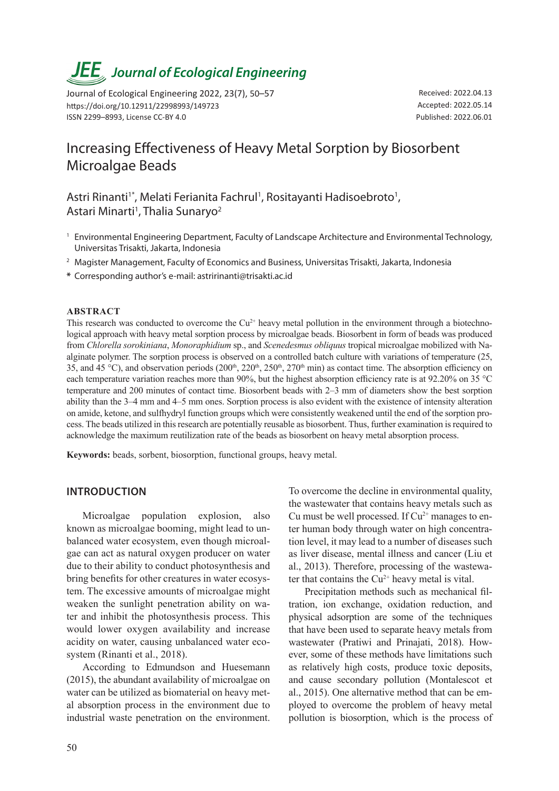# *JEE<sub>,</sub> Journal of Ecological Engineering*

Journal of Ecological Engineering 2022, 23(7), 50–57 https://doi.org/10.12911/22998993/149723 ISSN 2299–8993, License CC-BY 4.0

Received: 2022.04.13 Accepted: 2022.05.14 Published: 2022.06.01

# Increasing Effectiveness of Heavy Metal Sorption by Biosorbent Microalgae Beads

Astri Rinanti<sup>1\*</sup>, Melati Ferianita Fachrul<sup>1</sup>, Rositayanti Hadisoebroto<sup>1</sup>, Astari Minarti<sup>1</sup>, Thalia Sunaryo<sup>2</sup>

- <sup>1</sup> Environmental Engineering Department, Faculty of Landscape Architecture and Environmental Technology, Universitas Trisakti, Jakarta, Indonesia
- <sup>2</sup> Magister Management, Faculty of Economics and Business, Universitas Trisakti, Jakarta, Indonesia
- **\*** Corresponding author's e-mail: astririnanti@trisakti.ac.id

#### **ABSTRACT**

This research was conducted to overcome the  $Cu^{2+}$  heavy metal pollution in the environment through a biotechnological approach with heavy metal sorption process by microalgae beads. Biosorbent in form of beads was produced from *Chlorella sorokiniana*, *Monoraphidium* sp., and *Scenedesmus obliquus* tropical microalgae mobilized with Naalginate polymer. The sorption process is observed on a controlled batch culture with variations of temperature (25, 35, and 45 °C), and observation periods  $(200<sup>th</sup>, 220<sup>th</sup>, 250<sup>th</sup>, 270<sup>th</sup> min)$  as contact time. The absorption efficiency on each temperature variation reaches more than 90%, but the highest absorption efficiency rate is at 92.20% on 35 °C temperature and 200 minutes of contact time. Biosorbent beads with 2–3 mm of diameters show the best sorption ability than the 3–4 mm and 4–5 mm ones. Sorption process is also evident with the existence of intensity alteration on amide, ketone, and sulfhydryl function groups which were consistently weakened until the end of the sorption process. The beads utilized in this research are potentially reusable as biosorbent. Thus, further examination is required to acknowledge the maximum reutilization rate of the beads as biosorbent on heavy metal absorption process.

**Keywords:** beads, sorbent, biosorption, functional groups, heavy metal.

#### **INTRODUCTION**

Microalgae population explosion, also known as microalgae booming, might lead to unbalanced water ecosystem, even though microalgae can act as natural oxygen producer on water due to their ability to conduct photosynthesis and bring benefits for other creatures in water ecosystem. The excessive amounts of microalgae might weaken the sunlight penetration ability on water and inhibit the photosynthesis process. This would lower oxygen availability and increase acidity on water, causing unbalanced water ecosystem (Rinanti et al., 2018).

According to Edmundson and Huesemann (2015), the abundant availability of microalgae on water can be utilized as biomaterial on heavy metal absorption process in the environment due to industrial waste penetration on the environment. To overcome the decline in environmental quality, the wastewater that contains heavy metals such as Cu must be well processed. If  $Cu^{2+}$  manages to enter human body through water on high concentration level, it may lead to a number of diseases such as liver disease, mental illness and cancer (Liu et al., 2013). Therefore, processing of the wastewater that contains the  $Cu^{2+}$  heavy metal is vital.

Precipitation methods such as mechanical filtration, ion exchange, oxidation reduction, and physical adsorption are some of the techniques that have been used to separate heavy metals from wastewater (Pratiwi and Prinajati, 2018). However, some of these methods have limitations such as relatively high costs, produce toxic deposits, and cause secondary pollution (Montalescot et al., 2015). One alternative method that can be employed to overcome the problem of heavy metal pollution is biosorption, which is the process of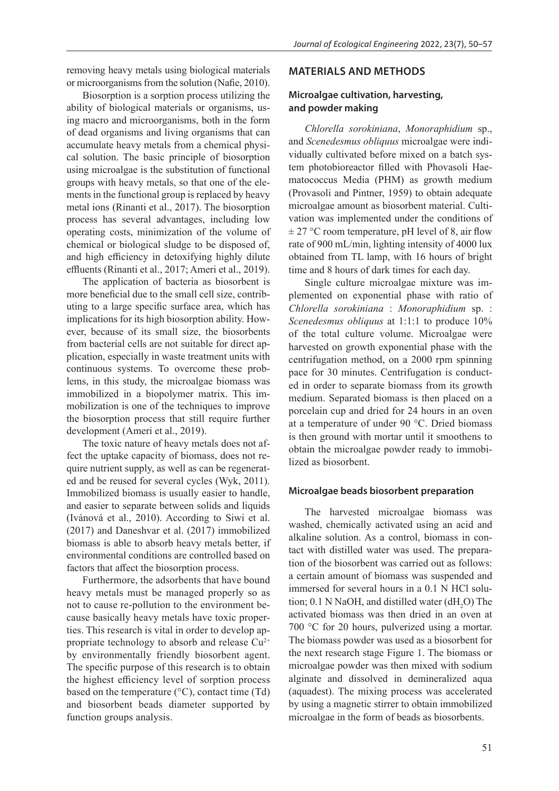removing heavy metals using biological materials or microorganisms from the solution (Nafie, 2010).

Biosorption is a sorption process utilizing the ability of biological materials or organisms, using macro and microorganisms, both in the form of dead organisms and living organisms that can accumulate heavy metals from a chemical physical solution. The basic principle of biosorption using microalgae is the substitution of functional groups with heavy metals, so that one of the elements in the functional group is replaced by heavy metal ions (Rinanti et al., 2017). The biosorption process has several advantages, including low operating costs, minimization of the volume of chemical or biological sludge to be disposed of, and high efficiency in detoxifying highly dilute effluents (Rinanti et al., 2017; Ameri et al., 2019).

The application of bacteria as biosorbent is more beneficial due to the small cell size, contributing to a large specific surface area, which has implications for its high biosorption ability. However, because of its small size, the biosorbents from bacterial cells are not suitable for direct application, especially in waste treatment units with continuous systems. To overcome these problems, in this study, the microalgae biomass was immobilized in a biopolymer matrix. This immobilization is one of the techniques to improve the biosorption process that still require further development (Ameri et al., 2019).

The toxic nature of heavy metals does not affect the uptake capacity of biomass, does not require nutrient supply, as well as can be regenerated and be reused for several cycles (Wyk, 2011). Immobilized biomass is usually easier to handle, and easier to separate between solids and liquids (Ivánová et al., 2010). According to Siwi et al. (2017) and Daneshvar et al. (2017) immobilized biomass is able to absorb heavy metals better, if environmental conditions are controlled based on factors that affect the biosorption process.

Furthermore, the adsorbents that have bound heavy metals must be managed properly so as not to cause re-pollution to the environment because basically heavy metals have toxic properties. This research is vital in order to develop appropriate technology to absorb and release  $Cu^{2+}$ by environmentally friendly biosorbent agent. The specific purpose of this research is to obtain the highest efficiency level of sorption process based on the temperature  $({}^{\circ}C)$ , contact time (Td) and biosorbent beads diameter supported by function groups analysis.

#### **MATERIALS AND METHODS**

# **Microalgae cultivation, harvesting, and powder making**

*Chlorella sorokiniana*, *Monoraphidium* sp., and *Scenedesmus obliquus* microalgae were individually cultivated before mixed on a batch system photobioreactor filled with Phovasoli Haematococcus Media (PHM) as growth medium (Provasoli and Pintner, 1959) to obtain adequate microalgae amount as biosorbent material. Cultivation was implemented under the conditions of  $\pm$  27 °C room temperature, pH level of 8, air flow rate of 900 mL/min, lighting intensity of 4000 lux obtained from TL lamp, with 16 hours of bright time and 8 hours of dark times for each day.

Single culture microalgae mixture was implemented on exponential phase with ratio of *Chlorella sorokiniana* : *Monoraphidium* sp. : *Scenedesmus obliquus* at 1:1:1 to produce 10% of the total culture volume. Microalgae were harvested on growth exponential phase with the centrifugation method, on a 2000 rpm spinning pace for 30 minutes. Centrifugation is conducted in order to separate biomass from its growth medium. Separated biomass is then placed on a porcelain cup and dried for 24 hours in an oven at a temperature of under 90 °C. Dried biomass is then ground with mortar until it smoothens to obtain the microalgae powder ready to immobilized as biosorbent.

#### **Microalgae beads biosorbent preparation**

The harvested microalgae biomass was washed, chemically activated using an acid and alkaline solution. As a control, biomass in contact with distilled water was used. The preparation of the biosorbent was carried out as follows: a certain amount of biomass was suspended and immersed for several hours in a 0.1 N HCl solution;  $0.1$  N NaOH, and distilled water (dH<sub>2</sub>O) The activated biomass was then dried in an oven at 700 °C for 20 hours, pulverized using a mortar. The biomass powder was used as a biosorbent for the next research stage Figure 1. The biomass or microalgae powder was then mixed with sodium alginate and dissolved in demineralized aqua (aquadest). The mixing process was accelerated by using a magnetic stirrer to obtain immobilized microalgae in the form of beads as biosorbents.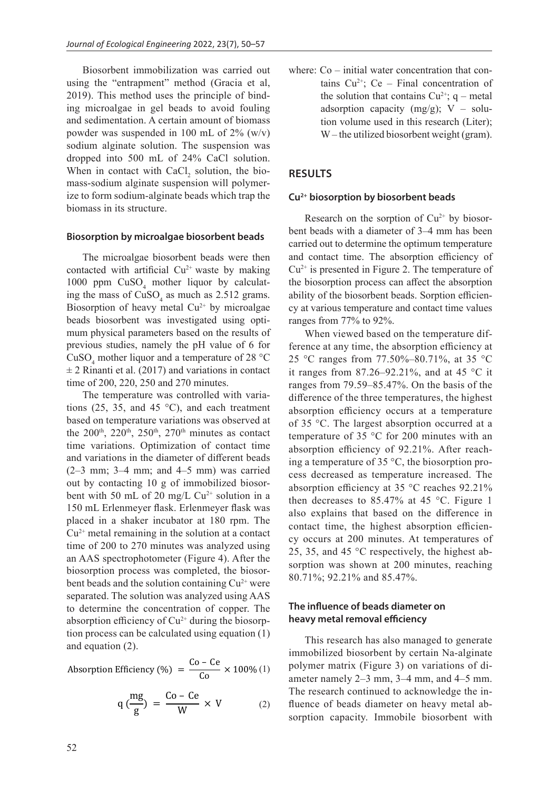Biosorbent immobilization was carried out using the "entrapment" method (Gracia et al, 2019). This method uses the principle of binding microalgae in gel beads to avoid fouling and sedimentation. A certain amount of biomass powder was suspended in 100 mL of 2% (w/v) sodium alginate solution. The suspension was dropped into 500 mL of 24% CaCl solution. When in contact with  $CaCl<sub>2</sub>$  solution, the biomass-sodium alginate suspension will polymerize to form sodium-alginate beads which trap the biomass in its structure.

#### **Biosorption by microalgae biosorbent beads**

The microalgae biosorbent beads were then contacted with artificial  $Cu^{2+}$  waste by making 1000 ppm  $CuSO<sub>4</sub>$  mother liquor by calculating the mass of  $CuSO<sub>4</sub>$  as much as 2.512 grams. Biosorption of heavy metal  $Cu^{2+}$  by microalgae beads biosorbent was investigated using optimum physical parameters based on the results of previous studies, namely the pH value of 6 for CuSO<sub>4</sub> mother liquor and a temperature of 28 °C  $\pm$  2 Rinanti et al. (2017) and variations in contact time of 200, 220, 250 and 270 minutes.

The temperature was controlled with variations (25, 35, and 45  $^{\circ}$ C), and each treatment based on temperature variations was observed at the 200<sup>th</sup>, 220<sup>th</sup>, 250<sup>th</sup>, 270<sup>th</sup> minutes as contact time variations. Optimization of contact time and variations in the diameter of different beads  $(2-3$  mm;  $3-4$  mm; and  $4-5$  mm) was carried out by contacting 10 g of immobilized biosorbent with 50 mL of 20 mg/L  $Cu^{2+}$  solution in a 150 mL Erlenmeyer flask. Erlenmeyer flask was placed in a shaker incubator at 180 rpm. The  $Cu<sup>2+</sup>$  metal remaining in the solution at a contact time of 200 to 270 minutes was analyzed using an AAS spectrophotometer (Figure 4). After the biosorption process was completed, the biosorbent beads and the solution containing  $Cu^{2+}$  were separated. The solution was analyzed using AAS to determine the concentration of copper. The absorption efficiency of  $Cu^{2+}$  during the biosorption process can be calculated using equation (1) and equation  $(2)$ .

Absorption Efficiency (%) =  $\frac{Co - Ce}{Co} \times 100\%$  (1) Co

$$
q\left(\frac{mg}{g}\right) = \frac{Co - Ce}{W} \times V \tag{2}
$$

where:  $Co$  – initial water concentration that contains  $Cu^{2+}$ ; Ce – Final concentration of the solution that contains  $Cu^{2+}$ ; q – metal adsorption capacity (mg/g);  $V - \text{solu}$ tion volume used in this research (Liter); W – the utilized biosorbent weight (gram).

# **RESULTS**

#### **Cu2+ biosorption by biosorbent beads**

Research on the sorption of  $Cu<sup>2+</sup>$  by biosorbent beads with a diameter of 3–4 mm has been carried out to determine the optimum temperature and contact time. The absorption efficiency of  $Cu<sup>2+</sup>$  is presented in Figure 2. The temperature of the biosorption process can affect the absorption ability of the biosorbent beads. Sorption efficiency at various temperature and contact time values ranges from 77% to 92%.

When viewed based on the temperature difference at any time, the absorption efficiency at 25 °C ranges from 77.50%–80.71%, at 35 °C it ranges from  $87.26 - 92.21\%$ , and at 45 °C it ranges from 79.59–85.47%. On the basis of the difference of the three temperatures, the highest absorption efficiency occurs at a temperature of 35 °C. The largest absorption occurred at a temperature of 35 °C for 200 minutes with an absorption efficiency of 92.21%. After reaching a temperature of 35 °C, the biosorption process decreased as temperature increased. The absorption efficiency at 35 °C reaches 92.21% then decreases to 85.47% at 45  $^{\circ}$ C. Figure 1 also explains that based on the difference in contact time, the highest absorption efficiency occurs at 200 minutes. At temperatures of 25, 35, and 45 °C respectively, the highest absorption was shown at 200 minutes, reaching 80.71%; 92.21% and 85.47%.

### **The influence of beads diameter on heavy metal removal efficiency**

This research has also managed to generate immobilized biosorbent by certain Na-alginate polymer matrix (Figure 3) on variations of diameter namely 2–3 mm, 3–4 mm, and 4–5 mm. The research continued to acknowledge the influence of beads diameter on heavy metal absorption capacity. Immobile biosorbent with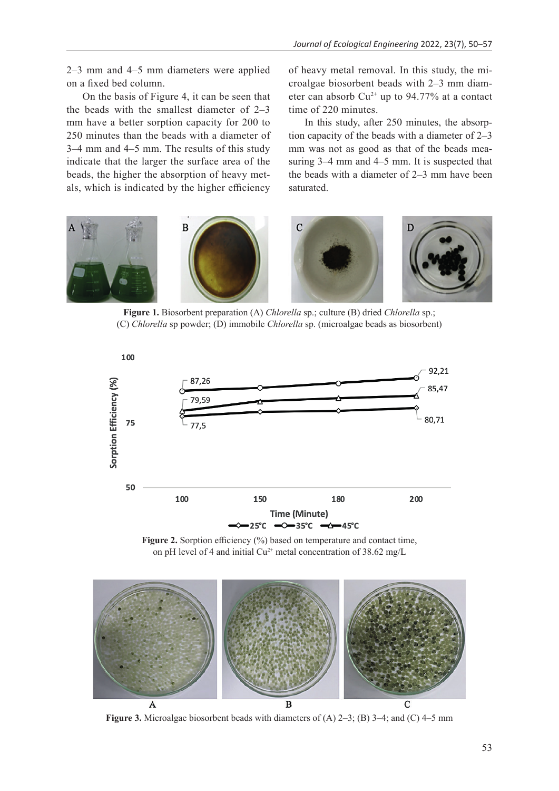2–3 mm and 4–5 mm diameters were applied on a fixed bed column.

On the basis of Figure 4, it can be seen that the beads with the smallest diameter of 2–3 mm have a better sorption capacity for 200 to 250 minutes than the beads with a diameter of 3–4 mm and 4–5 mm. The results of this study indicate that the larger the surface area of the beads, the higher the absorption of heavy metals, which is indicated by the higher efficiency

of heavy metal removal. In this study, the microalgae biosorbent beads with 2–3 mm diameter can absorb  $Cu^{2+}$  up to 94.77% at a contact time of 220 minutes.

In this study, after 250 minutes, the absorption capacity of the beads with a diameter of 2–3 mm was not as good as that of the beads measuring 3–4 mm and 4–5 mm. It is suspected that the beads with a diameter of 2–3 mm have been saturated.



**Figure 1.** Biosorbent preparation (A) *Chlorella* sp.; culture (B) dried *Chlorella* sp.; (C) *Chlorella* sp powder; (D) immobile *Chlorella* sp. (microalgae beads as biosorbent)



Figure 2. Sorption efficiency (%) based on temperature and contact time, on pH level of 4 and initial Cu<sup>2+</sup> metal concentration of 38.62 mg/L



**Figure 3.** Microalgae biosorbent beads with diameters of (A) 2–3; (B) 3–4; and (C) 4–5 mm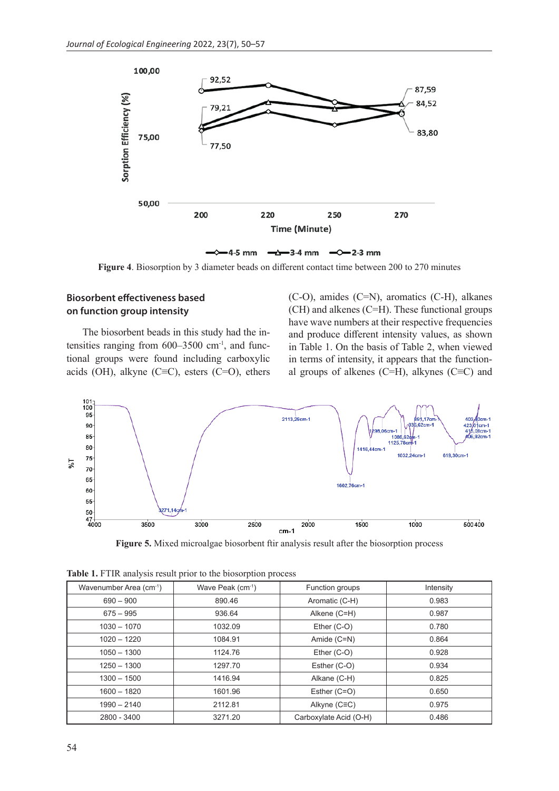

Figure 4. Biosorption by 3 diameter beads on different contact time between 200 to 270 minutes

# **Biosorbent effectiveness based on function group intensity**

The biosorbent beads in this study had the intensities ranging from  $600-3500$  cm<sup>-1</sup>, and functional groups were found including carboxylic acids (OH), alkyne (C≡C), esters (C=O), ethers (C-O), amides (C=N), aromatics (C-H), alkanes (CH) and alkenes (C=H). These functional groups have wave numbers at their respective frequencies and produce different intensity values, as shown in Table 1. On the basis of Table 2, when viewed in terms of intensity, it appears that the functional groups of alkenes (C=H), alkynes (C≡C) and



**Figure 5.** Mixed microalgae biosorbent ftir analysis result after the biosorption process

| Wavenumber Area (cm-1) | Wave Peak (cm <sup>-1</sup> ) | Function groups        | Intensity |
|------------------------|-------------------------------|------------------------|-----------|
| $690 - 900$            | 890.46                        | Aromatic (C-H)         | 0.983     |
| $675 - 995$            | 936.64                        | Alkene (C=H)           | 0.987     |
| $1030 - 1070$          | 1032.09                       | Ether $(C-O)$          | 0.780     |
| $1020 - 1220$          | 1084.91                       | Amide (C=N)            | 0.864     |
| $1050 - 1300$          | 1124.76                       | Ether (C-O)            | 0.928     |
| $1250 - 1300$          | 1297.70                       | Esther (C-O)           | 0.934     |
| $1300 - 1500$          | 1416.94                       | Alkane (C-H)           | 0.825     |
| $1600 - 1820$          | 1601.96                       | Esther (C=O)           | 0.650     |
| $1990 - 2140$          | 2112.81                       | Alkyne (C≡C)           | 0.975     |
| 2800 - 3400            | 3271.20                       | Carboxylate Acid (O-H) | 0.486     |

**Table 1.** FTIR analysis result prior to the biosorption process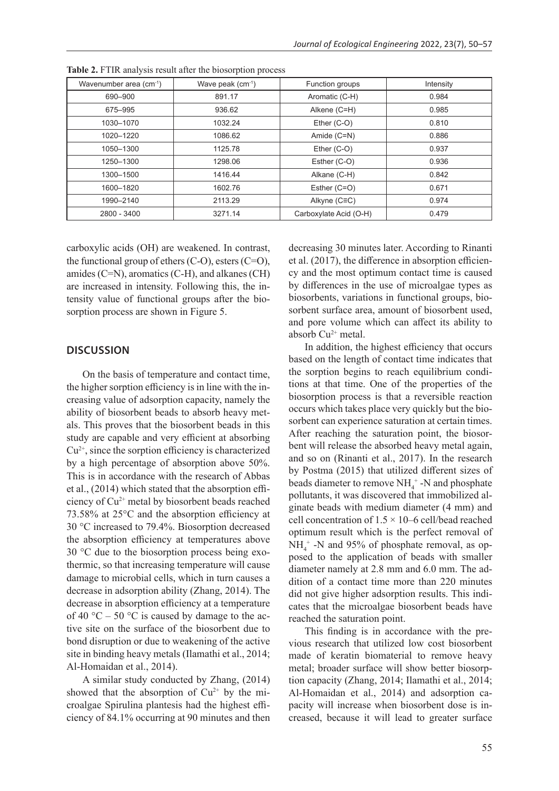| Wavenumber area (cm-1) | Wave peak (cm <sup>-1</sup> ) | Function groups        | Intensity |
|------------------------|-------------------------------|------------------------|-----------|
| 690-900                | 891.17                        | Aromatic (C-H)         | 0.984     |
| 675-995                | 936.62                        | Alkene (C=H)           | 0.985     |
| 1030-1070              | 1032.24                       | Ether $(C-O)$          | 0.810     |
| 1020-1220              | 1086.62                       | Amide (C=N)            | 0.886     |
| 1050-1300              | 1125.78                       | Ether (C-O)            | 0.937     |
| 1250-1300              | 1298.06                       | Esther (C-O)           | 0.936     |
| 1300-1500              | 1416.44                       | Alkane (C-H)           | 0.842     |
| 1600-1820              | 1602.76                       | Esther (C=O)           | 0.671     |
| 1990-2140              | 2113.29                       | Alkyne (C≡C)           | 0.974     |
| 2800 - 3400            | 3271.14                       | Carboxylate Acid (O-H) | 0.479     |

**Table 2.** FTIR analysis result after the biosorption process

carboxylic acids (OH) are weakened. In contrast, the functional group of ethers  $(C-O)$ , esters  $(C=O)$ , amides (C=N), aromatics (C-H), and alkanes (CH) are increased in intensity. Following this, the intensity value of functional groups after the biosorption process are shown in Figure 5.

#### **DISCUSSION**

On the basis of temperature and contact time, the higher sorption efficiency is in line with the increasing value of adsorption capacity, namely the ability of biosorbent beads to absorb heavy metals. This proves that the biosorbent beads in this study are capable and very efficient at absorbing  $Cu<sup>2+</sup>$ , since the sorption efficiency is characterized by a high percentage of absorption above 50%. This is in accordance with the research of Abbas et al., (2014) which stated that the absorption efficiency of Cu2+ metal by biosorbent beads reached 73.58% at 25°C and the absorption efficiency at 30 °C increased to 79.4%. Biosorption decreased the absorption efficiency at temperatures above 30 °C due to the biosorption process being exothermic, so that increasing temperature will cause damage to microbial cells, which in turn causes a decrease in adsorption ability (Zhang, 2014). The decrease in absorption efficiency at a temperature of 40  $^{\circ}$ C – 50  $^{\circ}$ C is caused by damage to the active site on the surface of the biosorbent due to bond disruption or due to weakening of the active site in binding heavy metals (Ilamathi et al., 2014; Al-Homaidan et al., 2014).

A similar study conducted by Zhang, (2014) showed that the absorption of  $Cu^{2+}$  by the microalgae Spirulina plantesis had the highest efficiency of 84.1% occurring at 90 minutes and then decreasing 30 minutes later. According to Rinanti et al. (2017), the difference in absorption efficiency and the most optimum contact time is caused by differences in the use of microalgae types as biosorbents, variations in functional groups, biosorbent surface area, amount of biosorbent used, and pore volume which can affect its ability to absorb  $Cu^{2+}$  metal.

In addition, the highest efficiency that occurs based on the length of contact time indicates that the sorption begins to reach equilibrium conditions at that time. One of the properties of the biosorption process is that a reversible reaction occurs which takes place very quickly but the biosorbent can experience saturation at certain times. After reaching the saturation point, the biosorbent will release the absorbed heavy metal again, and so on (Rinanti et al., 2017). In the research by Postma (2015) that utilized different sizes of beads diameter to remove  $NH_4^+$ -N and phosphate pollutants, it was discovered that immobilized alginate beads with medium diameter (4 mm) and cell concentration of  $1.5 \times 10-6$  cell/bead reached optimum result which is the perfect removal of  $NH_4^+$  -N and 95% of phosphate removal, as opposed to the application of beads with smaller diameter namely at 2.8 mm and 6.0 mm. The addition of a contact time more than 220 minutes did not give higher adsorption results. This indicates that the microalgae biosorbent beads have reached the saturation point.

This finding is in accordance with the previous research that utilized low cost biosorbent made of keratin biomaterial to remove heavy metal; broader surface will show better biosorption capacity (Zhang, 2014; Ilamathi et al., 2014; Al-Homaidan et al., 2014) and adsorption capacity will increase when biosorbent dose is increased, because it will lead to greater surface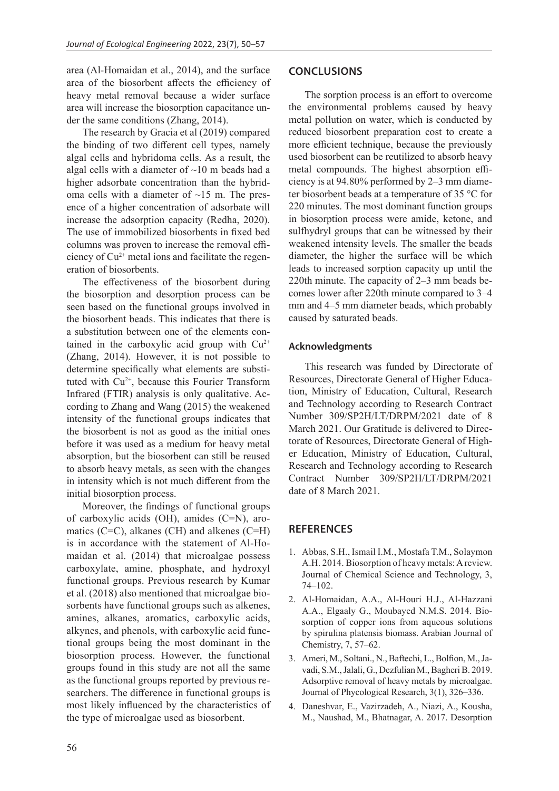area (Al-Homaidan et al., 2014), and the surface area of the biosorbent affects the efficiency of heavy metal removal because a wider surface area will increase the biosorption capacitance under the same conditions (Zhang, 2014).

The research by Gracia et al (2019) compared the binding of two different cell types, namely algal cells and hybridoma cells. As a result, the algal cells with a diameter of  $\sim$ 10 m beads had a higher adsorbate concentration than the hybridoma cells with a diameter of  $\sim$ 15 m. The presence of a higher concentration of adsorbate will increase the adsorption capacity (Redha, 2020). The use of immobilized biosorbents in fixed bed columns was proven to increase the removal efficiency of  $Cu^{2+}$  metal ions and facilitate the regeneration of biosorbents.

The effectiveness of the biosorbent during the biosorption and desorption process can be seen based on the functional groups involved in the biosorbent beads. This indicates that there is a substitution between one of the elements contained in the carboxylic acid group with  $Cu^{2+}$ (Zhang, 2014). However, it is not possible to determine specifically what elements are substituted with  $Cu<sup>2+</sup>$ , because this Fourier Transform Infrared (FTIR) analysis is only qualitative. According to Zhang and Wang (2015) the weakened intensity of the functional groups indicates that the biosorbent is not as good as the initial ones before it was used as a medium for heavy metal absorption, but the biosorbent can still be reused to absorb heavy metals, as seen with the changes in intensity which is not much different from the initial biosorption process.

Moreover, the findings of functional groups of carboxylic acids (OH), amides (C=N), aromatics (C=C), alkanes (CH) and alkenes (C=H) is in accordance with the statement of Al-Homaidan et al. (2014) that microalgae possess carboxylate, amine, phosphate, and hydroxyl functional groups. Previous research by Kumar et al. (2018) also mentioned that microalgae biosorbents have functional groups such as alkenes, amines, alkanes, aromatics, carboxylic acids, alkynes, and phenols, with carboxylic acid functional groups being the most dominant in the biosorption process. However, the functional groups found in this study are not all the same as the functional groups reported by previous researchers. The difference in functional groups is most likely influenced by the characteristics of the type of microalgae used as biosorbent.

# **CONCLUSIONS**

The sorption process is an effort to overcome the environmental problems caused by heavy metal pollution on water, which is conducted by reduced biosorbent preparation cost to create a more efficient technique, because the previously used biosorbent can be reutilized to absorb heavy metal compounds. The highest absorption efficiency is at 94.80% performed by 2–3 mm diameter biosorbent beads at a temperature of 35 °C for 220 minutes. The most dominant function groups in biosorption process were amide, ketone, and sulfhydryl groups that can be witnessed by their weakened intensity levels. The smaller the beads diameter, the higher the surface will be which leads to increased sorption capacity up until the 220th minute. The capacity of 2–3 mm beads becomes lower after 220th minute compared to 3–4 mm and 4–5 mm diameter beads, which probably caused by saturated beads.

#### **Acknowledgments**

This research was funded by Directorate of Resources, Directorate General of Higher Education, Ministry of Education, Cultural, Research and Technology according to Research Contract Number 309/SP2H/LT/DRPM/2021 date of 8 March 2021. Our Gratitude is delivered to Directorate of Resources, Directorate General of Higher Education, Ministry of Education, Cultural, Research and Technology according to Research Contract Number 309/SP2H/LT/DRPM/2021 date of 8 March 2021.

# **REFERENCES**

- 1. Abbas, S.H., Ismail I.M., Mostafa T.M., Solaymon A.H. 2014. Biosorption of heavy metals: A review. Journal of Chemical Science and Technology, 3, 74–102.
- 2. Al-Homaidan, A.A., Al-Houri H.J., Al-Hazzani A.A., Elgaaly G., Moubayed N.M.S. 2014. Biosorption of copper ions from aqueous solutions by spirulina platensis biomass. Arabian Journal of Chemistry, 7, 57–62.
- 3. Ameri, M., Soltani., N., Baftechi, L., Bolfion, M., Javadi, S.M., Jalali, G., Dezfulian M., Bagheri B. 2019. Adsorptive removal of heavy metals by microalgae. Journal of Phycological Research, 3(1), 326–336.
- 4. Daneshvar, E., Vazirzadeh, A., Niazi, A., Kousha, M., Naushad, M., Bhatnagar, A. 2017. Desorption